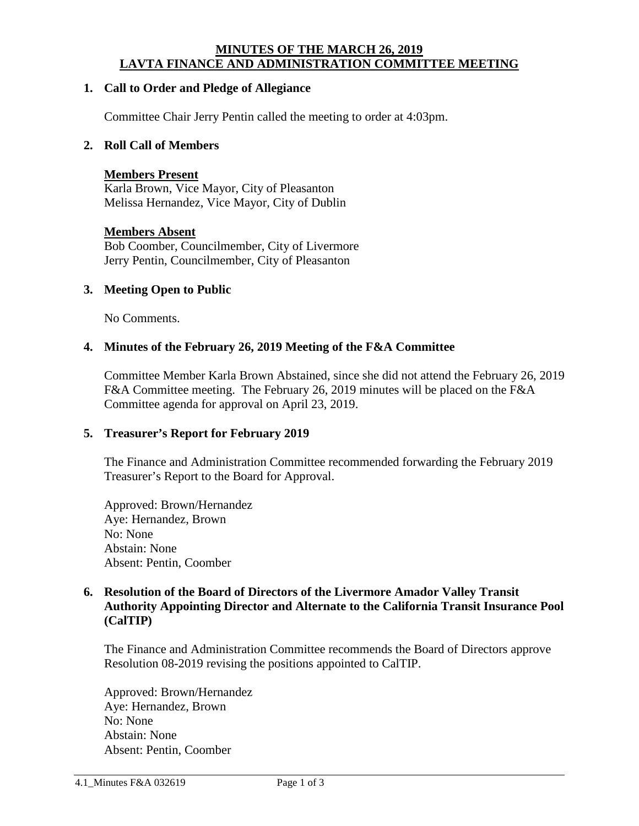## **MINUTES OF THE MARCH 26, 2019 LAVTA FINANCE AND ADMINISTRATION COMMITTEE MEETING**

## **1. Call to Order and Pledge of Allegiance**

Committee Chair Jerry Pentin called the meeting to order at 4:03pm.

## **2. Roll Call of Members**

#### **Members Present**

Karla Brown, Vice Mayor, City of Pleasanton Melissa Hernandez, Vice Mayor, City of Dublin

#### **Members Absent**

Bob Coomber, Councilmember, City of Livermore Jerry Pentin, Councilmember, City of Pleasanton

#### **3. Meeting Open to Public**

No Comments.

### **4. Minutes of the February 26, 2019 Meeting of the F&A Committee**

Committee Member Karla Brown Abstained, since she did not attend the February 26, 2019 F&A Committee meeting. The February 26, 2019 minutes will be placed on the F&A Committee agenda for approval on April 23, 2019.

#### **5. Treasurer's Report for February 2019**

The Finance and Administration Committee recommended forwarding the February 2019 Treasurer's Report to the Board for Approval.

Approved: Brown/Hernandez Aye: Hernandez, Brown No: None Abstain: None Absent: Pentin, Coomber

## **6. Resolution of the Board of Directors of the Livermore Amador Valley Transit Authority Appointing Director and Alternate to the California Transit Insurance Pool (CalTIP)**

The Finance and Administration Committee recommends the Board of Directors approve Resolution 08-2019 revising the positions appointed to CalTIP.

Approved: Brown/Hernandez Aye: Hernandez, Brown No: None Abstain: None Absent: Pentin, Coomber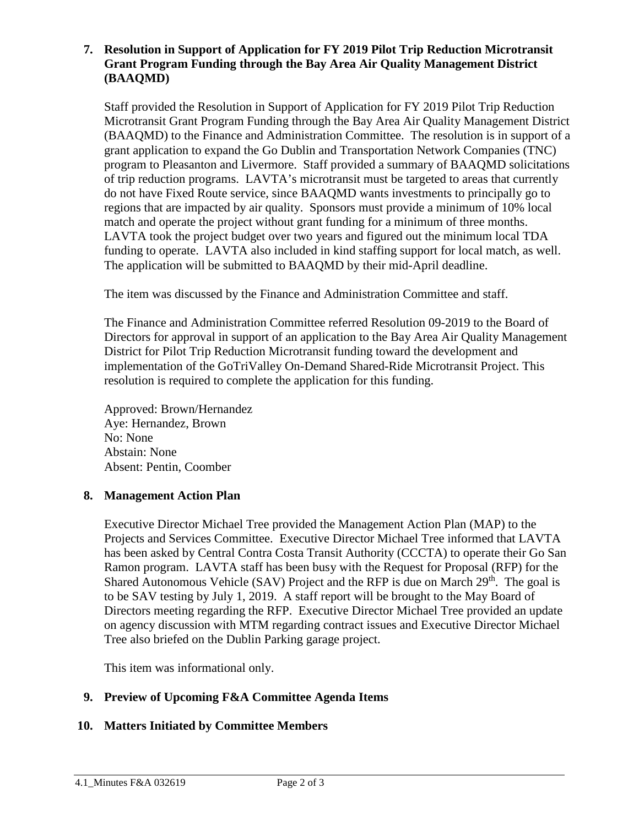## **7. Resolution in Support of Application for FY 2019 Pilot Trip Reduction Microtransit Grant Program Funding through the Bay Area Air Quality Management District (BAAQMD)**

Staff provided the Resolution in Support of Application for FY 2019 Pilot Trip Reduction Microtransit Grant Program Funding through the Bay Area Air Quality Management District (BAAQMD) to the Finance and Administration Committee. The resolution is in support of a grant application to expand the Go Dublin and Transportation Network Companies (TNC) program to Pleasanton and Livermore. Staff provided a summary of BAAQMD solicitations of trip reduction programs. LAVTA's microtransit must be targeted to areas that currently do not have Fixed Route service, since BAAQMD wants investments to principally go to regions that are impacted by air quality. Sponsors must provide a minimum of 10% local match and operate the project without grant funding for a minimum of three months. LAVTA took the project budget over two years and figured out the minimum local TDA funding to operate. LAVTA also included in kind staffing support for local match, as well. The application will be submitted to BAAQMD by their mid-April deadline.

The item was discussed by the Finance and Administration Committee and staff.

The Finance and Administration Committee referred Resolution 09-2019 to the Board of Directors for approval in support of an application to the Bay Area Air Quality Management District for Pilot Trip Reduction Microtransit funding toward the development and implementation of the GoTriValley On-Demand Shared-Ride Microtransit Project. This resolution is required to complete the application for this funding.

Approved: Brown/Hernandez Aye: Hernandez, Brown No: None Abstain: None Absent: Pentin, Coomber

# **8. Management Action Plan**

Executive Director Michael Tree provided the Management Action Plan (MAP) to the Projects and Services Committee. Executive Director Michael Tree informed that LAVTA has been asked by Central Contra Costa Transit Authority (CCCTA) to operate their Go San Ramon program. LAVTA staff has been busy with the Request for Proposal (RFP) for the Shared Autonomous Vehicle (SAV) Project and the RFP is due on March  $29<sup>th</sup>$ . The goal is to be SAV testing by July 1, 2019. A staff report will be brought to the May Board of Directors meeting regarding the RFP. Executive Director Michael Tree provided an update on agency discussion with MTM regarding contract issues and Executive Director Michael Tree also briefed on the Dublin Parking garage project.

This item was informational only.

# **9. Preview of Upcoming F&A Committee Agenda Items**

# **10. Matters Initiated by Committee Members**